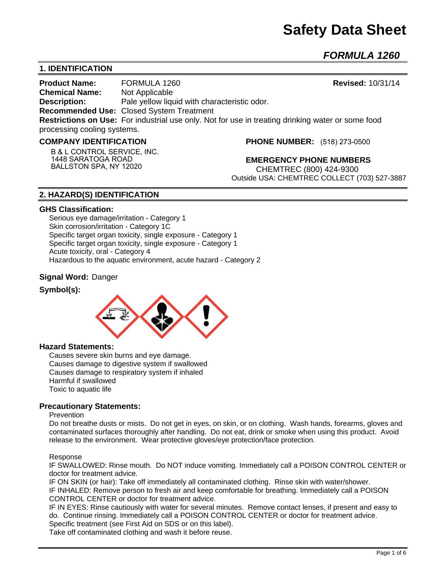# **Safety Data Sheet**

*FORMULA 1260* 

# **1. IDENTIFICATION**

**Product Name:** FORMULA 1260 **Revised:** 10/31/14 **Chemical Name:** Not Applicable **Description:** Pale yellow liquid with characteristic odor. **Recommended Use:** Closed System Treatment **Restrictions on Use:** For industrial use only. Not for use in treating drinking water or some food processing cooling systems.

#### **COMPANY IDENTIFICATION**

**B & L CONTROL SERVICE, INC. 1448 SARATOGA ROAD BALLSTON SPA, NY 12020**

**PHONE NUMBER:** (518) 273-0500

**EMERGENCY PHONE NUMBERS** CHEMTREC (800) 424-9300 Outside USA: CHEMTREC COLLECT (703) 527-3887

# **2. HAZARD(S) IDENTIFICATION**

#### **GHS Classification:**

Serious eye damage/irritation - Category 1 Skin corrosion/irritation - Category 1C Specific target organ toxicity, single exposure - Category 1 Specific target organ toxicity, single exposure - Category 1 Acute toxicity, oral - Category 4 Hazardous to the aquatic environment, acute hazard - Category 2

## **Signal Word:** Danger

## **Symbol(s):**



## **Hazard Statements:**

Causes severe skin burns and eye damage. Causes damage to digestive system if swallowed Causes damage to respiratory system if inhaled Harmful if swallowed Toxic to aquatic life

## **Precautionary Statements:**

#### Prevention

Do not breathe dusts or mists. Do not get in eyes, on skin, or on clothing. Wash hands, forearms, gloves and contaminated surfaces thoroughly after handling. Do not eat, drink or smoke when using this product. Avoid release to the environment. Wear protective gloves/eye protection/face protection.

#### Response

IF SWALLOWED: Rinse mouth. Do NOT induce vomiting. Immediately call a POISON CONTROL CENTER or doctor for treatment advice.

IF ON SKIN (or hair): Take off immediately all contaminated clothing. Rinse skin with water/shower. IF INHALED: Remove person to fresh air and keep comfortable for breathing. Immediately call a POISON CONTROL CENTER or doctor for treatment advice.

IF IN EYES: Rinse cautiously with water for several minutes. Remove contact lenses, if present and easy to do. Continue rinsing. Immediately call a POISON CONTROL CENTER or doctor for treatment advice. Specific treatment (see First Aid on SDS or on this label).

Take off contaminated clothing and wash it before reuse.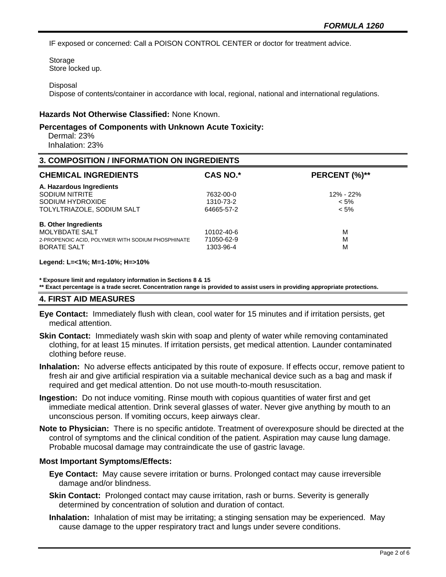IF exposed or concerned: Call a POISON CONTROL CENTER or doctor for treatment advice.

Storage Store locked up.

#### **Disposal**

Dispose of contents/container in accordance with local, regional, national and international regulations.

#### **Hazards Not Otherwise Classified:** None Known.

#### **Percentages of Components with Unknown Acute Toxicity:**

 Dermal: 23% Inhalation: 23%

#### **3. COMPOSITION / INFORMATION ON INGREDIENTS**

| <b>CHEMICAL INGREDIENTS</b>                       | <b>CAS NO.*</b> | PERCENT (%)** |
|---------------------------------------------------|-----------------|---------------|
| A. Hazardous Ingredients                          |                 |               |
| SODIUM NITRITE                                    | 7632-00-0       | 12% - 22%     |
| SODIUM HYDROXIDE                                  | 1310-73-2       | $< 5\%$       |
| TOLYLTRIAZOLE, SODIUM SALT                        | 64665-57-2      | $< 5\%$       |
| <b>B. Other Ingredients</b>                       |                 |               |
| <b>MOLYBDATE SALT</b>                             | 10102-40-6      | M             |
| 2-PROPENOIC ACID, POLYMER WITH SODIUM PHOSPHINATE | 71050-62-9      | M             |
| <b>BORATE SALT</b>                                | 1303-96-4       | M             |

#### **Legend: L=<1%; M=1-10%; H=>10%**

**\* Exposure limit and regulatory information in Sections 8 & 15**

**\*\* Exact percentage is a trade secret. Concentration range is provided to assist users in providing appropriate protections.**

#### **4. FIRST AID MEASURES**

- **Eye Contact:** Immediately flush with clean, cool water for 15 minutes and if irritation persists, get medical attention.
- **Skin Contact:** Immediately wash skin with soap and plenty of water while removing contaminated clothing, for at least 15 minutes. If irritation persists, get medical attention. Launder contaminated clothing before reuse.
- **Inhalation:** No adverse effects anticipated by this route of exposure. If effects occur, remove patient to fresh air and give artificial respiration via a suitable mechanical device such as a bag and mask if required and get medical attention. Do not use mouth-to-mouth resuscitation.
- **Ingestion:** Do not induce vomiting. Rinse mouth with copious quantities of water first and get immediate medical attention. Drink several glasses of water. Never give anything by mouth to an unconscious person. If vomiting occurs, keep airways clear.
- **Note to Physician:** There is no specific antidote. Treatment of overexposure should be directed at the control of symptoms and the clinical condition of the patient. Aspiration may cause lung damage. Probable mucosal damage may contraindicate the use of gastric lavage.

#### **Most Important Symptoms/Effects:**

- **Eye Contact:** May cause severe irritation or burns. Prolonged contact may cause irreversible damage and/or blindness.
- **Skin Contact:** Prolonged contact may cause irritation, rash or burns. Severity is generally determined by concentration of solution and duration of contact.
- **Inhalation:** Inhalation of mist may be irritating; a stinging sensation may be experienced. May cause damage to the upper respiratory tract and lungs under severe conditions.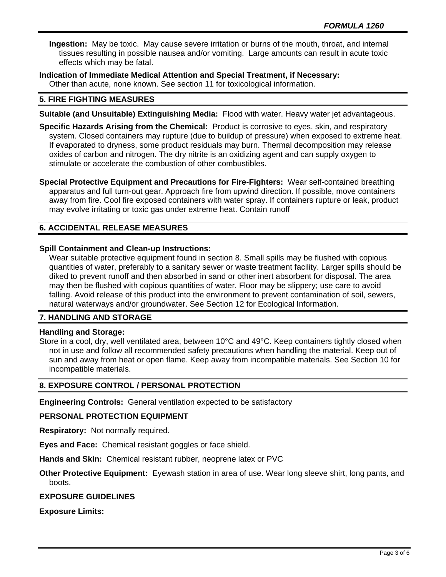**Ingestion:** May be toxic. May cause severe irritation or burns of the mouth, throat, and internal tissues resulting in possible nausea and/or vomiting. Large amounts can result in acute toxic effects which may be fatal.

**Indication of Immediate Medical Attention and Special Treatment, if Necessary:** Other than acute, none known. See section 11 for toxicological information.

## **5. FIRE FIGHTING MEASURES**

- **Suitable (and Unsuitable) Extinguishing Media:** Flood with water. Heavy water jet advantageous.
- **Specific Hazards Arising from the Chemical:** Product is corrosive to eyes, skin, and respiratory system. Closed containers may rupture (due to buildup of pressure) when exposed to extreme heat. If evaporated to dryness, some product residuals may burn. Thermal decomposition may release oxides of carbon and nitrogen. The dry nitrite is an oxidizing agent and can supply oxygen to stimulate or accelerate the combustion of other combustibles.

**Special Protective Equipment and Precautions for Fire-Fighters:** Wear self-contained breathing apparatus and full turn-out gear. Approach fire from upwind direction. If possible, move containers away from fire. Cool fire exposed containers with water spray. If containers rupture or leak, product may evolve irritating or toxic gas under extreme heat. Contain runoff

# **6. ACCIDENTAL RELEASE MEASURES**

## **Spill Containment and Clean-up Instructions:**

Wear suitable protective equipment found in section 8. Small spills may be flushed with copious quantities of water, preferably to a sanitary sewer or waste treatment facility. Larger spills should be diked to prevent runoff and then absorbed in sand or other inert absorbent for disposal. The area may then be flushed with copious quantities of water. Floor may be slippery; use care to avoid falling. Avoid release of this product into the environment to prevent contamination of soil, sewers, natural waterways and/or groundwater. See Section 12 for Ecological Information.

## **7. HANDLING AND STORAGE**

## **Handling and Storage:**

Store in a cool, dry, well ventilated area, between 10°C and 49°C. Keep containers tightly closed when not in use and follow all recommended safety precautions when handling the material. Keep out of sun and away from heat or open flame. Keep away from incompatible materials. See Section 10 for incompatible materials.

## **8. EXPOSURE CONTROL / PERSONAL PROTECTION**

**Engineering Controls:** General ventilation expected to be satisfactory

## **PERSONAL PROTECTION EQUIPMENT**

**Respiratory:** Not normally required.

**Eyes and Face:** Chemical resistant goggles or face shield.

**Hands and Skin:** Chemical resistant rubber, neoprene latex or PVC

**Other Protective Equipment:** Eyewash station in area of use. Wear long sleeve shirt, long pants, and boots.

## **EXPOSURE GUIDELINES**

**Exposure Limits:**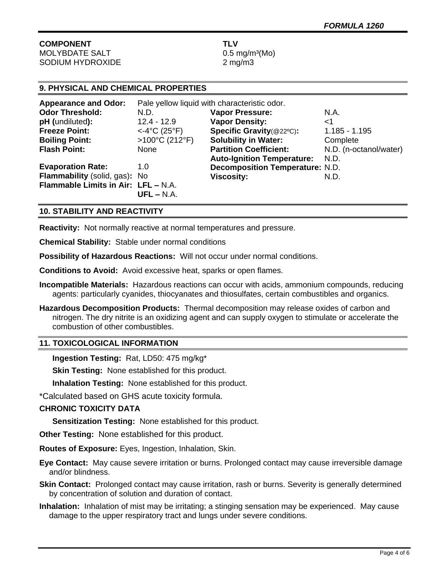# **COMPONENT TLV** MOLYBDATE SALT 0.5 mg/m<sup>3</sup>(Mo)

SODIUM HYDROXIDE 2 mg/m3

# **9. PHYSICAL AND CHEMICAL PROPERTIES**

| <b>Appearance and Odor:</b>         | Pale yellow liquid with characteristic odor. |                                        |                        |
|-------------------------------------|----------------------------------------------|----------------------------------------|------------------------|
| <b>Odor Threshold:</b>              | N.D.                                         | <b>Vapor Pressure:</b>                 | N.A.                   |
| pH (undiluted):                     | $12.4 - 12.9$                                | <b>Vapor Density:</b>                  | <1                     |
| <b>Freeze Point:</b>                | $<$ -4°C (25°F)                              | Specific Gravity(@22°C):               | $1.185 - 1.195$        |
| <b>Boiling Point:</b>               | $>100^{\circ}$ C (212°F)                     | <b>Solubility in Water:</b>            | Complete               |
| <b>Flash Point:</b>                 | <b>None</b>                                  | <b>Partition Coefficient:</b>          | N.D. (n-octanol/water) |
|                                     |                                              | <b>Auto-Ignition Temperature:</b>      | N.D.                   |
| <b>Evaporation Rate:</b>            | 1.0                                          | <b>Decomposition Temperature: N.D.</b> |                        |
| Flammability (solid, gas): No       |                                              | <b>Viscosity:</b>                      | N.D.                   |
| Flammable Limits in Air: LFL - N.A. |                                              |                                        |                        |
|                                     | $UFL - N.A.$                                 |                                        |                        |

## **10. STABILITY AND REACTIVITY**

**Reactivity:** Not normally reactive at normal temperatures and pressure.

**Chemical Stability:** Stable under normal conditions

**Possibility of Hazardous Reactions:** Will not occur under normal conditions.

**Conditions to Avoid:** Avoid excessive heat, sparks or open flames.

- **Incompatible Materials:** Hazardous reactions can occur with acids, ammonium compounds, reducing agents: particularly cyanides, thiocyanates and thiosulfates, certain combustibles and organics.
- **Hazardous Decomposition Products:** Thermal decomposition may release oxides of carbon and nitrogen. The dry nitrite is an oxidizing agent and can supply oxygen to stimulate or accelerate the combustion of other combustibles.

## **11. TOXICOLOGICAL INFORMATION**

**Ingestion Testing:** Rat, LD50: 475 mg/kg\*

**Skin Testing: None established for this product.** 

**Inhalation Testing:** None established for this product.

\*Calculated based on GHS acute toxicity formula.

## **CHRONIC TOXICITY DATA**

**Sensitization Testing:** None established for this product.

**Other Testing:** None established for this product.

**Routes of Exposure:** Eyes, Ingestion, Inhalation, Skin.

**Eye Contact:** May cause severe irritation or burns. Prolonged contact may cause irreversible damage and/or blindness.

**Skin Contact:** Prolonged contact may cause irritation, rash or burns. Severity is generally determined by concentration of solution and duration of contact.

**Inhalation:** Inhalation of mist may be irritating; a stinging sensation may be experienced. May cause damage to the upper respiratory tract and lungs under severe conditions.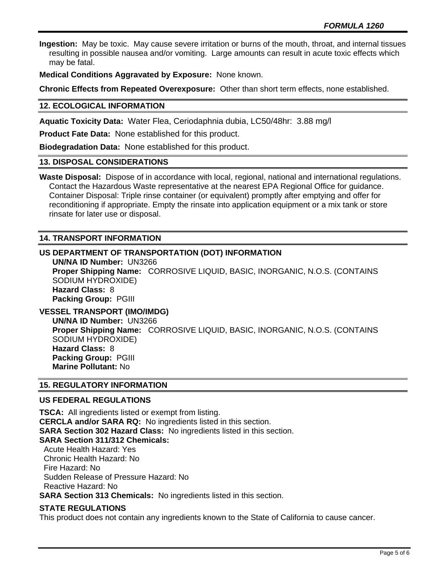**Ingestion:** May be toxic. May cause severe irritation or burns of the mouth, throat, and internal tissues resulting in possible nausea and/or vomiting. Large amounts can result in acute toxic effects which may be fatal.

**Medical Conditions Aggravated by Exposure:** None known.

**Chronic Effects from Repeated Overexposure:** Other than short term effects, none established.

## **12. ECOLOGICAL INFORMATION**

**Aquatic Toxicity Data:** Water Flea, Ceriodaphnia dubia, LC50/48hr: 3.88 mg/l

**Product Fate Data:** None established for this product.

**Biodegradation Data:** None established for this product.

#### **13. DISPOSAL CONSIDERATIONS**

**Waste Disposal:** Dispose of in accordance with local, regional, national and international regulations. Contact the Hazardous Waste representative at the nearest EPA Regional Office for guidance. Container Disposal: Triple rinse container (or equivalent) promptly after emptying and offer for reconditioning if appropriate. Empty the rinsate into application equipment or a mix tank or store rinsate for later use or disposal.

## **14. TRANSPORT INFORMATION**

## **US DEPARTMENT OF TRANSPORTATION (DOT) INFORMATION**

**UN/NA ID Number:** UN3266 **Proper Shipping Name:** CORROSIVE LIQUID, BASIC, INORGANIC, N.O.S. (CONTAINS SODIUM HYDROXIDE) **Hazard Class:** 8 **Packing Group:** PGIII

# **VESSEL TRANSPORT (IMO/IMDG)**

**UN/NA ID Number:** UN3266 **Proper Shipping Name:** CORROSIVE LIQUID, BASIC, INORGANIC, N.O.S. (CONTAINS SODIUM HYDROXIDE) **Hazard Class:** 8 **Packing Group:** PGIII **Marine Pollutant:** No

## **15. REGULATORY INFORMATION**

## **US FEDERAL REGULATIONS**

**TSCA:** All ingredients listed or exempt from listing. **CERCLA and/or SARA RQ:** No ingredients listed in this section. **SARA Section 302 Hazard Class:** No ingredients listed in this section. **SARA Section 311/312 Chemicals:**  Acute Health Hazard: Yes Chronic Health Hazard: No Fire Hazard: No Sudden Release of Pressure Hazard: No Reactive Hazard: No **SARA Section 313 Chemicals:** No ingredients listed in this section.

## **STATE REGULATIONS**

This product does not contain any ingredients known to the State of California to cause cancer.